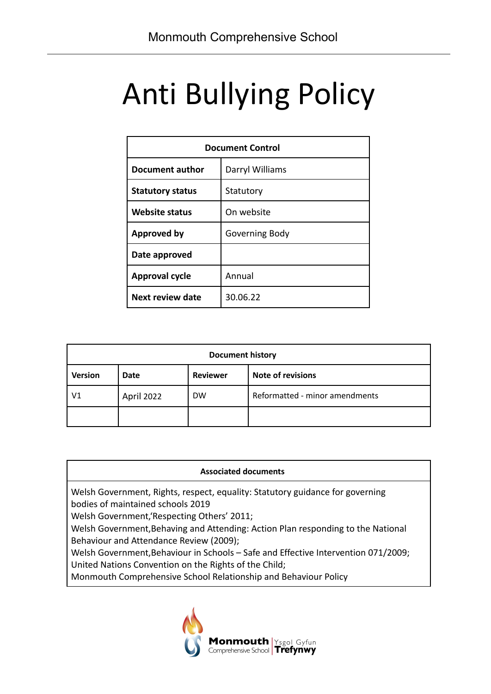# Anti Bullying Policy

| <b>Document Control</b> |                 |  |
|-------------------------|-----------------|--|
| Document author         | Darryl Williams |  |
| <b>Statutory status</b> | Statutory       |  |
| <b>Website status</b>   | On website      |  |
| <b>Approved by</b>      | Governing Body  |  |
| Date approved           |                 |  |
| <b>Approval cycle</b>   | Annual          |  |
| Next review date        | 30.06.22        |  |

| <b>Document history</b> |             |                 |                                |  |  |
|-------------------------|-------------|-----------------|--------------------------------|--|--|
| <b>Version</b>          | <b>Date</b> | <b>Reviewer</b> | <b>Note of revisions</b>       |  |  |
| V1                      | April 2022  | <b>DW</b>       | Reformatted - minor amendments |  |  |
|                         |             |                 |                                |  |  |

#### **Associated documents**

Welsh Government, Rights, respect, equality: Statutory guidance for governing bodies of maintained schools 2019

Welsh Government,'Respecting Others' 2011;

Welsh Government,Behaving and Attending: Action Plan responding to the National Behaviour and Attendance Review (2009);

Welsh Government,Behaviour in Schools – Safe and Effective Intervention 071/2009; United Nations Convention on the Rights of the Child;

Monmouth Comprehensive School Relationship and Behaviour Policy

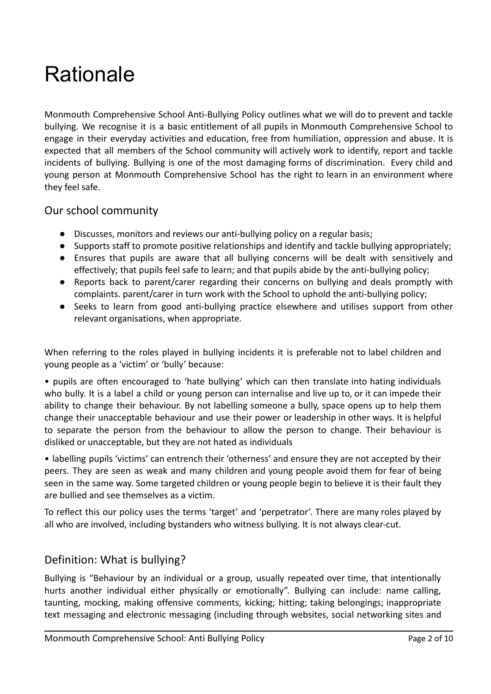# **Rationale**

Monmouth Comprehensive School Anti-Bullying Policy outlines what we will do to prevent and tackle bullying. We recognise it is a basic entitlement of all pupils in Monmouth Comprehensive School to engage in their everyday activities and education, free from humiliation, oppression and abuse. It is expected that all members of the School community will actively work to identify, report and tackle incidents of bullying. Bullying is one of the most damaging forms of discrimination. Every child and young person at Monmouth Comprehensive School has the right to learn in an environment where they feel safe.

#### Our school community

- Discusses, monitors and reviews our anti-bullying policy on a regular basis;
- Supports staff to promote positive relationships and identify and tackle bullying appropriately;
- Ensures that pupils are aware that all bullying concerns will be dealt with sensitively and effectively; that pupils feel safe to learn; and that pupils abide by the anti-bullying policy;
- Reports back to parent/carer regarding their concerns on bullying and deals promptly with complaints. parent/carer in turn work with the School to uphold the anti-bullying policy;
- Seeks to learn from good anti-bullying practice elsewhere and utilises support from other relevant organisations, when appropriate.

When referring to the roles played in bullying incidents it is preferable not to label children and young people as a 'victim' or 'bully' because:

• pupils are often encouraged to 'hate bullying' which can then translate into hating individuals who bully. It is a label a child or young person can internalise and live up to, or it can impede their ability to change their behaviour. By not labelling someone a bully, space opens up to help them change their unacceptable behaviour and use their power or leadership in other ways. It is helpful to separate the person from the behaviour to allow the person to change. Their behaviour is disliked or unacceptable, but they are not hated as individuals

• labelling pupils 'victims' can entrench their 'otherness' and ensure they are not accepted by their peers. They are seen as weak and many children and young people avoid them for fear of being seen in the same way. Some targeted children or young people begin to believe it is their fault they are bullied and see themselves as a victim.

To reflect this our policy uses the terms 'target' and 'perpetrator'. There are many roles played by all who are involved, including bystanders who witness bullying. It is not always clear-cut.

#### Definition: What is bullying?

Bullying is "Behaviour by an individual or a group, usually repeated over time, that intentionally hurts another individual either physically or emotionally". Bullying can include: name calling, taunting, mocking, making offensive comments, kicking; hitting; taking belongings; inappropriate text messaging and electronic messaging (including through websites, social networking sites and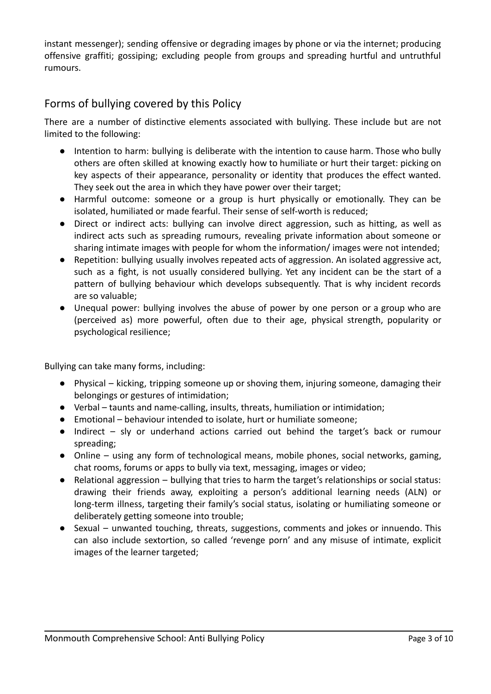instant messenger); sending offensive or degrading images by phone or via the internet; producing offensive graffiti; gossiping; excluding people from groups and spreading hurtful and untruthful rumours.

### Forms of bullying covered by this Policy

There are a number of distinctive elements associated with bullying. These include but are not limited to the following:

- Intention to harm: bullying is deliberate with the intention to cause harm. Those who bully others are often skilled at knowing exactly how to humiliate or hurt their target: picking on key aspects of their appearance, personality or identity that produces the effect wanted. They seek out the area in which they have power over their target;
- Harmful outcome: someone or a group is hurt physically or emotionally. They can be isolated, humiliated or made fearful. Their sense of self-worth is reduced;
- Direct or indirect acts: bullying can involve direct aggression, such as hitting, as well as indirect acts such as spreading rumours, revealing private information about someone or sharing intimate images with people for whom the information/ images were not intended;
- Repetition: bullying usually involves repeated acts of aggression. An isolated aggressive act, such as a fight, is not usually considered bullying. Yet any incident can be the start of a pattern of bullying behaviour which develops subsequently. That is why incident records are so valuable;
- Unequal power: bullying involves the abuse of power by one person or a group who are (perceived as) more powerful, often due to their age, physical strength, popularity or psychological resilience;

Bullying can take many forms, including:

- Physical kicking, tripping someone up or shoving them, injuring someone, damaging their belongings or gestures of intimidation;
- Verbal taunts and name-calling, insults, threats, humiliation or intimidation;
- Emotional behaviour intended to isolate, hurt or humiliate someone;
- Indirect sly or underhand actions carried out behind the target's back or rumour spreading;
- Online using any form of technological means, mobile phones, social networks, gaming, chat rooms, forums or apps to bully via text, messaging, images or video;
- Relational aggression bullying that tries to harm the target's relationships or social status: drawing their friends away, exploiting a person's additional learning needs (ALN) or long-term illness, targeting their family's social status, isolating or humiliating someone or deliberately getting someone into trouble;
- Sexual unwanted touching, threats, suggestions, comments and jokes or innuendo. This can also include sextortion, so called 'revenge porn' and any misuse of intimate, explicit images of the learner targeted;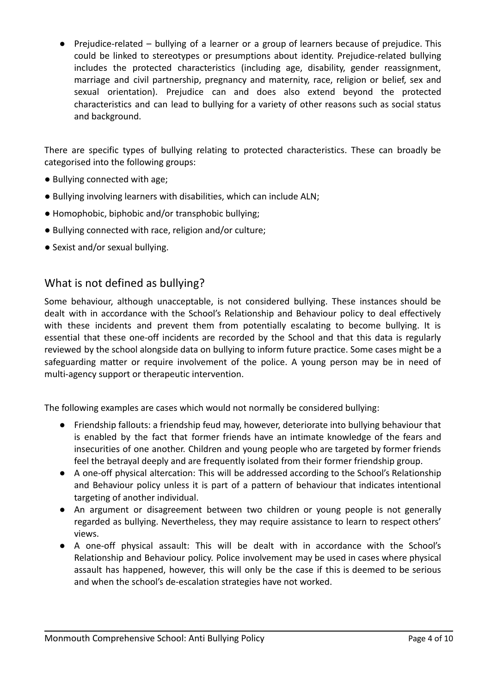● Prejudice-related – bullying of a learner or a group of learners because of prejudice. This could be linked to stereotypes or presumptions about identity. Prejudice-related bullying includes the protected characteristics (including age, disability, gender reassignment, marriage and civil partnership, pregnancy and maternity, race, religion or belief, sex and sexual orientation). Prejudice can and does also extend beyond the protected characteristics and can lead to bullying for a variety of other reasons such as social status and background.

There are specific types of bullying relating to protected characteristics. These can broadly be categorised into the following groups:

- Bullying connected with age;
- Bullying involving learners with disabilities, which can include ALN;
- Homophobic, biphobic and/or transphobic bullying;
- Bullying connected with race, religion and/or culture;
- Sexist and/or sexual bullying.

#### What is not defined as bullying?

Some behaviour, although unacceptable, is not considered bullying. These instances should be dealt with in accordance with the School's Relationship and Behaviour policy to deal effectively with these incidents and prevent them from potentially escalating to become bullying. It is essential that these one-off incidents are recorded by the School and that this data is regularly reviewed by the school alongside data on bullying to inform future practice. Some cases might be a safeguarding matter or require involvement of the police. A young person may be in need of multi-agency support or therapeutic intervention.

The following examples are cases which would not normally be considered bullying:

- Friendship fallouts: a friendship feud may, however, deteriorate into bullying behaviour that is enabled by the fact that former friends have an intimate knowledge of the fears and insecurities of one another. Children and young people who are targeted by former friends feel the betrayal deeply and are frequently isolated from their former friendship group.
- A one-off physical altercation: This will be addressed according to the School's Relationship and Behaviour policy unless it is part of a pattern of behaviour that indicates intentional targeting of another individual.
- An argument or disagreement between two children or young people is not generally regarded as bullying. Nevertheless, they may require assistance to learn to respect others' views.
- A one-off physical assault: This will be dealt with in accordance with the School's Relationship and Behaviour policy. Police involvement may be used in cases where physical assault has happened, however, this will only be the case if this is deemed to be serious and when the school's de-escalation strategies have not worked.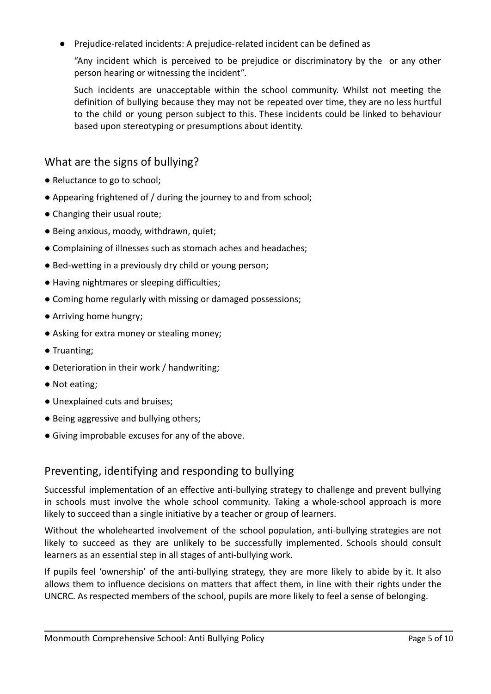● Prejudice-related incidents: A prejudice-related incident can be defined as

"Any incident which is perceived to be prejudice or discriminatory by the or any other person hearing or witnessing the incident".

Such incidents are unacceptable within the school community. Whilst not meeting the definition of bullying because they may not be repeated over time, they are no less hurtful to the child or young person subject to this. These incidents could be linked to behaviour based upon stereotyping or presumptions about identity.

### What are the signs of bullying?

- Reluctance to go to school;
- Appearing frightened of / during the journey to and from school;
- Changing their usual route;
- Being anxious, moody, withdrawn, quiet;
- Complaining of illnesses such as stomach aches and headaches;
- Bed-wetting in a previously dry child or young person;
- Having nightmares or sleeping difficulties;
- Coming home regularly with missing or damaged possessions;
- Arriving home hungry;
- Asking for extra money or stealing money;
- Truanting;
- Deterioration in their work / handwriting;
- Not eating;
- Unexplained cuts and bruises;
- Being aggressive and bullying others;
- Giving improbable excuses for any of the above.

#### Preventing, identifying and responding to bullying

Successful implementation of an effective anti-bullying strategy to challenge and prevent bullying in schools must involve the whole school community. Taking a whole-school approach is more likely to succeed than a single initiative by a teacher or group of learners.

Without the wholehearted involvement of the school population, anti-bullying strategies are not likely to succeed as they are unlikely to be successfully implemented. Schools should consult learners as an essential step in all stages of anti-bullying work.

If pupils feel 'ownership' of the anti-bullying strategy, they are more likely to abide by it. It also allows them to influence decisions on matters that affect them, in line with their rights under the UNCRC. As respected members of the school, pupils are more likely to feel a sense of belonging.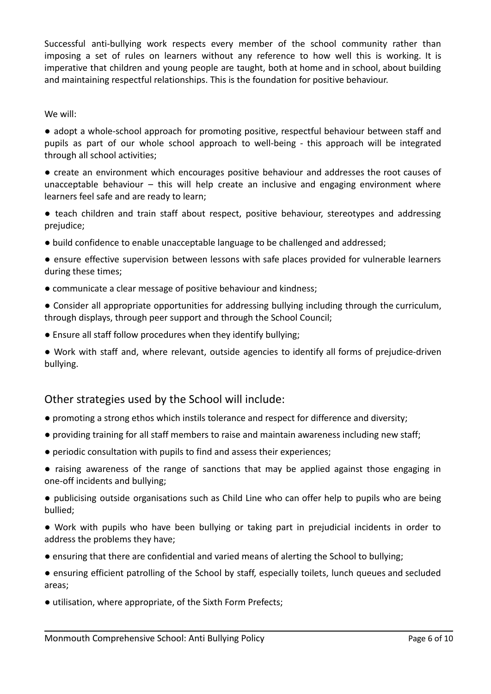Successful anti-bullying work respects every member of the school community rather than imposing a set of rules on learners without any reference to how well this is working. It is imperative that children and young people are taught, both at home and in school, about building and maintaining respectful relationships. This is the foundation for positive behaviour.

#### We will:

● adopt a whole-school approach for promoting positive, respectful behaviour between staff and pupils as part of our whole school approach to well-being - this approach will be integrated through all school activities;

● create an environment which encourages positive behaviour and addresses the root causes of unacceptable behaviour  $-$  this will help create an inclusive and engaging environment where learners feel safe and are ready to learn;

- teach children and train staff about respect, positive behaviour, stereotypes and addressing prejudice;
- build confidence to enable unacceptable language to be challenged and addressed;
- ensure effective supervision between lessons with safe places provided for vulnerable learners during these times;
- communicate a clear message of positive behaviour and kindness;
- Consider all appropriate opportunities for addressing bullying including through the curriculum, through displays, through peer support and through the School Council;
- Ensure all staff follow procedures when they identify bullying;
- Work with staff and, where relevant, outside agencies to identify all forms of prejudice-driven bullying.

#### Other strategies used by the School will include:

- promoting a strong ethos which instils tolerance and respect for difference and diversity;
- providing training for all staff members to raise and maintain awareness including new staff;
- periodic consultation with pupils to find and assess their experiences;
- raising awareness of the range of sanctions that may be applied against those engaging in one-off incidents and bullying;

● publicising outside organisations such as Child Line who can offer help to pupils who are being bullied;

- Work with pupils who have been bullying or taking part in prejudicial incidents in order to address the problems they have;
- ensuring that there are confidential and varied means of alerting the School to bullying;
- ensuring efficient patrolling of the School by staff, especially toilets, lunch queues and secluded areas;
- utilisation, where appropriate, of the Sixth Form Prefects;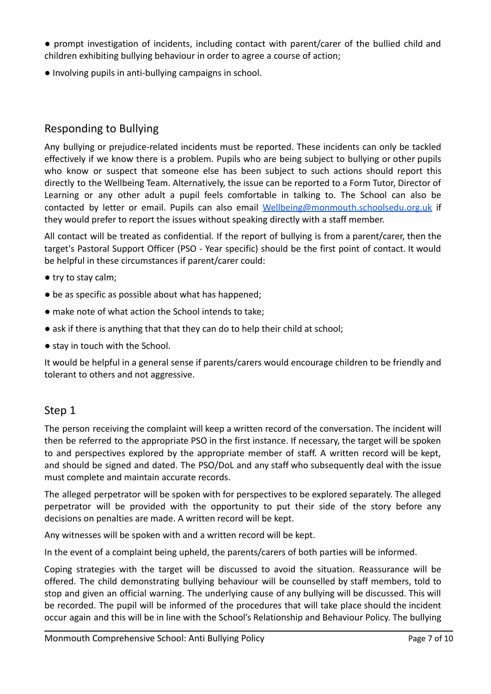● prompt investigation of incidents, including contact with parent/carer of the bullied child and children exhibiting bullying behaviour in order to agree a course of action;

● Involving pupils in anti-bullying campaigns in school.

#### Responding to Bullying

Any bullying or prejudice-related incidents must be reported. These incidents can only be tackled effectively if we know there is a problem. Pupils who are being subject to bullying or other pupils who know or suspect that someone else has been subject to such actions should report this directly to the Wellbeing Team. Alternatively, the issue can be reported to a Form Tutor, Director of Learning or any other adult a pupil feels comfortable in talking to. The School can also be contacted by letter or email. Pupils can also email [Wellbeing@monmouth.schoolsedu.org.uk](mailto:Wellbeing@monmouth.schoolsedu.org.uk) if they would prefer to report the issues without speaking directly with a staff member.

All contact will be treated as confidential. If the report of bullying is from a parent/carer, then the target's Pastoral Support Officer (PSO - Year specific) should be the first point of contact. It would be helpful in these circumstances if parent/carer could:

- try to stay calm;
- be as specific as possible about what has happened;
- make note of what action the School intends to take;
- ask if there is anything that that they can do to help their child at school;
- stay in touch with the School.

It would be helpful in a general sense if parents/carers would encourage children to be friendly and tolerant to others and not aggressive.

#### Step 1

The person receiving the complaint will keep a written record of the conversation. The incident will then be referred to the appropriate PSO in the first instance. If necessary, the target will be spoken to and perspectives explored by the appropriate member of staff. A written record will be kept, and should be signed and dated. The PSO/DoL and any staff who subsequently deal with the issue must complete and maintain accurate records.

The alleged perpetrator will be spoken with for perspectives to be explored separately. The alleged perpetrator will be provided with the opportunity to put their side of the story before any decisions on penalties are made. A written record will be kept.

Any witnesses will be spoken with and a written record will be kept.

In the event of a complaint being upheld, the parents/carers of both parties will be informed.

Coping strategies with the target will be discussed to avoid the situation. Reassurance will be offered. The child demonstrating bullying behaviour will be counselled by staff members, told to stop and given an official warning. The underlying cause of any bullying will be discussed. This will be recorded. The pupil will be informed of the procedures that will take place should the incident occur again and this will be in line with the School's Relationship and Behaviour Policy. The bullying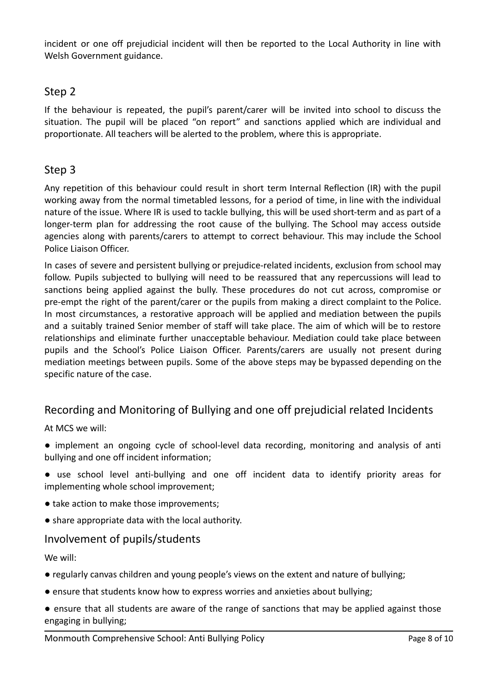incident or one off prejudicial incident will then be reported to the Local Authority in line with Welsh Government guidance.

#### Step 2

If the behaviour is repeated, the pupil's parent/carer will be invited into school to discuss the situation. The pupil will be placed "on report" and sanctions applied which are individual and proportionate. All teachers will be alerted to the problem, where this is appropriate.

### Step 3

Any repetition of this behaviour could result in short term Internal Reflection (IR) with the pupil working away from the normal timetabled lessons, for a period of time, in line with the individual nature of the issue. Where IR is used to tackle bullying, this will be used short-term and as part of a longer-term plan for addressing the root cause of the bullying. The School may access outside agencies along with parents/carers to attempt to correct behaviour. This may include the School Police Liaison Officer.

In cases of severe and persistent bullying or prejudice-related incidents, exclusion from school may follow. Pupils subjected to bullying will need to be reassured that any repercussions will lead to sanctions being applied against the bully. These procedures do not cut across, compromise or pre-empt the right of the parent/carer or the pupils from making a direct complaint to the Police. In most circumstances, a restorative approach will be applied and mediation between the pupils and a suitably trained Senior member of staff will take place. The aim of which will be to restore relationships and eliminate further unacceptable behaviour. Mediation could take place between pupils and the School's Police Liaison Officer. Parents/carers are usually not present during mediation meetings between pupils. Some of the above steps may be bypassed depending on the specific nature of the case.

## Recording and Monitoring of Bullying and one off prejudicial related Incidents

At MCS we will:

- implement an ongoing cycle of school-level data recording, monitoring and analysis of anti bullying and one off incident information;
- use school level anti-bullying and one off incident data to identify priority areas for implementing whole school improvement;
- take action to make those improvements;
- share appropriate data with the local authority.

#### Involvement of pupils/students

We will:

- regularly canvas children and young people's views on the extent and nature of bullying;
- ensure that students know how to express worries and anxieties about bullying;
- ensure that all students are aware of the range of sanctions that may be applied against those engaging in bullying;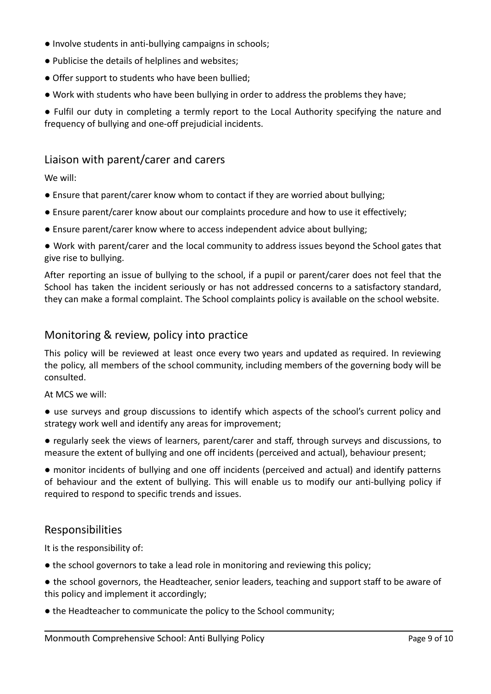- Involve students in anti-bullying campaigns in schools;
- Publicise the details of helplines and websites;
- Offer support to students who have been bullied;
- Work with students who have been bullying in order to address the problems they have;

● Fulfil our duty in completing a termly report to the Local Authority specifying the nature and frequency of bullying and one-off prejudicial incidents.

#### Liaison with parent/carer and carers

We will:

- Ensure that parent/carer know whom to contact if they are worried about bullying;
- Ensure parent/carer know about our complaints procedure and how to use it effectively;
- Ensure parent/carer know where to access independent advice about bullying;
- Work with parent/carer and the local community to address issues beyond the School gates that give rise to bullying.

After reporting an issue of bullying to the school, if a pupil or parent/carer does not feel that the School has taken the incident seriously or has not addressed concerns to a satisfactory standard, they can make a formal complaint. The School complaints policy is available on the school website.

#### Monitoring & review, policy into practice

This policy will be reviewed at least once every two years and updated as required. In reviewing the policy, all members of the school community, including members of the governing body will be consulted.

At MCS we will:

- use surveys and group discussions to identify which aspects of the school's current policy and strategy work well and identify any areas for improvement;
- regularly seek the views of learners, parent/carer and staff, through surveys and discussions, to measure the extent of bullying and one off incidents (perceived and actual), behaviour present;

● monitor incidents of bullying and one off incidents (perceived and actual) and identify patterns of behaviour and the extent of bullying. This will enable us to modify our anti-bullying policy if required to respond to specific trends and issues.

#### Responsibilities

It is the responsibility of:

- the school governors to take a lead role in monitoring and reviewing this policy;
- the school governors, the Headteacher, senior leaders, teaching and support staff to be aware of this policy and implement it accordingly;
- the Headteacher to communicate the policy to the School community;